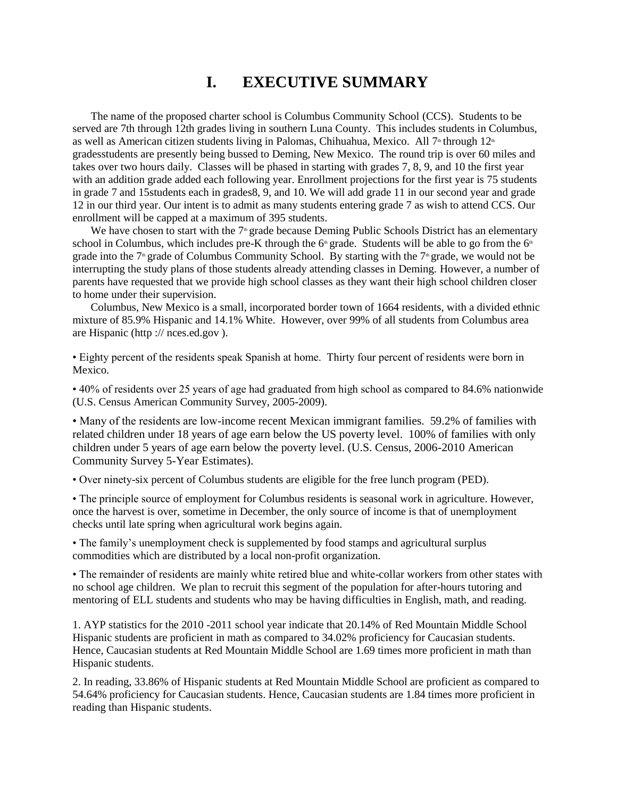## **I. EXECUTIVE SUMMARY**

The name of the proposed charter school is Columbus Community School (CCS). Students to be served are 7th through 12th grades living in southern Luna County. This includes students in Columbus, as well as American citizen students living in Palomas, Chihuahua, Mexico. All  $7^{\circ}$  through  $12^{\circ}$ gradesstudents are presently being bussed to Deming, New Mexico. The round trip is over 60 miles and takes over two hours daily. Classes will be phased in starting with grades 7, 8, 9, and 10 the first year with an addition grade added each following year. Enrollment projections for the first year is 75 students in grade 7 and 15students each in grades8, 9, and 10. We will add grade 11 in our second year and grade 12 in our third year. Our intent is to admit as many students entering grade 7 as wish to attend CCS. Our enrollment will be capped at a maximum of 395 students.

We have chosen to start with the  $7<sup>th</sup>$  grade because Deming Public Schools District has an elementary school in Columbus, which includes pre-K through the  $6<sup>th</sup>$  grade. Students will be able to go from the  $6<sup>th</sup>$ grade into the  $7<sup>th</sup>$  grade of Columbus Community School. By starting with the  $7<sup>th</sup>$  grade, we would not be interrupting the study plans of those students already attending classes in Deming. However, a number of parents have requested that we provide high school classes as they want their high school children closer to home under their supervision.

Columbus, New Mexico is a small, incorporated border town of 1664 residents, with a divided ethnic mixture of 85.9% Hispanic and 14.1% White. However, over 99% of all students from Columbus area are Hispanic (http :// nces.ed.gov ).

• Eighty percent of the residents speak Spanish at home. Thirty four percent of residents were born in Mexico.

• 40% of residents over 25 years of age had graduated from high school as compared to 84.6% nationwide (U.S. Census American Community Survey, 2005-2009).

• Many of the residents are low-income recent Mexican immigrant families. 59.2% of families with related children under 18 years of age earn below the US poverty level. 100% of families with only children under 5 years of age earn below the poverty level. (U.S. Census, 2006-2010 American Community Survey 5-Year Estimates).

• Over ninety-six percent of Columbus students are eligible for the free lunch program (PED).

• The principle source of employment for Columbus residents is seasonal work in agriculture. However, once the harvest is over, sometime in December, the only source of income is that of unemployment checks until late spring when agricultural work begins again.

• The family's unemployment check is supplemented by food stamps and agricultural surplus commodities which are distributed by a local non-profit organization.

• The remainder of residents are mainly white retired blue and white-collar workers from other states with no school age children. We plan to recruit this segment of the population for after-hours tutoring and mentoring of ELL students and students who may be having difficulties in English, math, and reading.

1. AYP statistics for the 2010 -2011 school year indicate that 20.14% of Red Mountain Middle School Hispanic students are proficient in math as compared to 34.02% proficiency for Caucasian students. Hence, Caucasian students at Red Mountain Middle School are 1.69 times more proficient in math than Hispanic students.

2. In reading, 33.86% of Hispanic students at Red Mountain Middle School are proficient as compared to 54.64% proficiency for Caucasian students. Hence, Caucasian students are 1.84 times more proficient in reading than Hispanic students.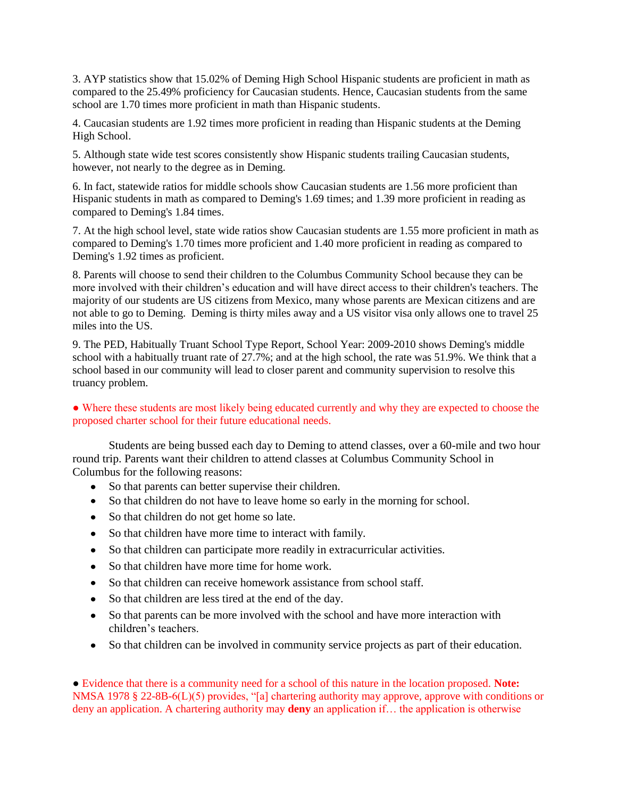3. AYP statistics show that 15.02% of Deming High School Hispanic students are proficient in math as compared to the 25.49% proficiency for Caucasian students. Hence, Caucasian students from the same school are 1.70 times more proficient in math than Hispanic students.

4. Caucasian students are 1.92 times more proficient in reading than Hispanic students at the Deming High School.

5. Although state wide test scores consistently show Hispanic students trailing Caucasian students, however, not nearly to the degree as in Deming.

6. In fact, statewide ratios for middle schools show Caucasian students are 1.56 more proficient than Hispanic students in math as compared to Deming's 1.69 times; and 1.39 more proficient in reading as compared to Deming's 1.84 times.

7. At the high school level, state wide ratios show Caucasian students are 1.55 more proficient in math as compared to Deming's 1.70 times more proficient and 1.40 more proficient in reading as compared to Deming's 1.92 times as proficient.

8. Parents will choose to send their children to the Columbus Community School because they can be more involved with their children's education and will have direct access to their children's teachers. The majority of our students are US citizens from Mexico, many whose parents are Mexican citizens and are not able to go to Deming. Deming is thirty miles away and a US visitor visa only allows one to travel 25 miles into the US.

9. The PED, Habitually Truant School Type Report, School Year: 2009-2010 shows Deming's middle school with a habitually truant rate of 27.7%; and at the high school, the rate was 51.9%. We think that a school based in our community will lead to closer parent and community supervision to resolve this truancy problem.

• Where these students are most likely being educated currently and why they are expected to choose the proposed charter school for their future educational needs.

Students are being bussed each day to Deming to attend classes, over a 60-mile and two hour round trip. Parents want their children to attend classes at Columbus Community School in Columbus for the following reasons:

- So that parents can better supervise their children.
- So that children do not have to leave home so early in the morning for school.
- So that children do not get home so late.
- So that children have more time to interact with family.
- So that children can participate more readily in extracurricular activities.
- So that children have more time for home work.
- So that children can receive homework assistance from school staff.
- So that children are less tired at the end of the day.
- So that parents can be more involved with the school and have more interaction with children's teachers.
- So that children can be involved in community service projects as part of their education.

● Evidence that there is a community need for a school of this nature in the location proposed. **Note:**  NMSA 1978 § 22-8B-6(L)(5) provides, "[a] chartering authority may approve, approve with conditions or deny an application. A chartering authority may **deny** an application if… the application is otherwise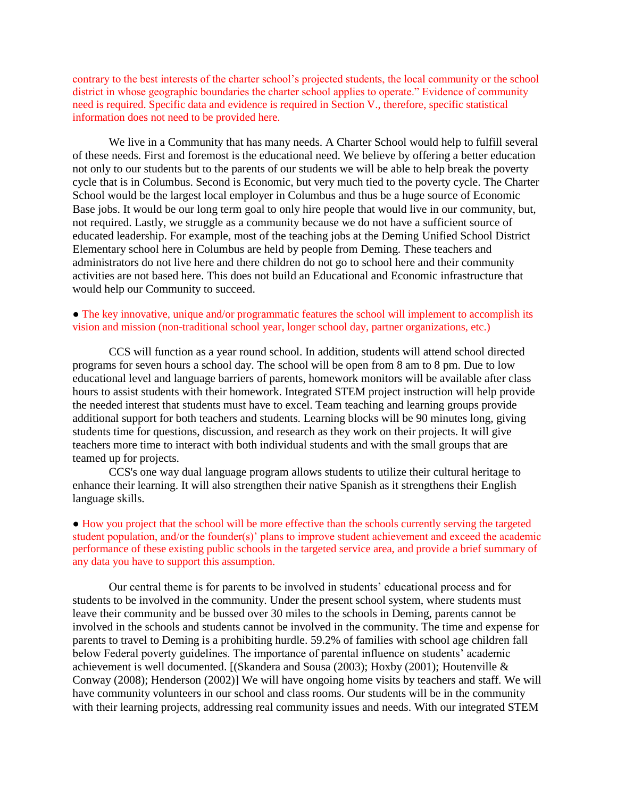contrary to the best interests of the charter school's projected students, the local community or the school district in whose geographic boundaries the charter school applies to operate." Evidence of community need is required. Specific data and evidence is required in Section V., therefore, specific statistical information does not need to be provided here.

We live in a Community that has many needs. A Charter School would help to fulfill several of these needs. First and foremost is the educational need. We believe by offering a better education not only to our students but to the parents of our students we will be able to help break the poverty cycle that is in Columbus. Second is Economic, but very much tied to the poverty cycle. The Charter School would be the largest local employer in Columbus and thus be a huge source of Economic Base jobs. It would be our long term goal to only hire people that would live in our community, but, not required. Lastly, we struggle as a community because we do not have a sufficient source of educated leadership. For example, most of the teaching jobs at the Deming Unified School District Elementary school here in Columbus are held by people from Deming. These teachers and administrators do not live here and there children do not go to school here and their community activities are not based here. This does not build an Educational and Economic infrastructure that would help our Community to succeed.

## • The key innovative, unique and/or programmatic features the school will implement to accomplish its vision and mission (non-traditional school year, longer school day, partner organizations, etc.)

CCS will function as a year round school. In addition, students will attend school directed programs for seven hours a school day. The school will be open from 8 am to 8 pm. Due to low educational level and language barriers of parents, homework monitors will be available after class hours to assist students with their homework. Integrated STEM project instruction will help provide the needed interest that students must have to excel. Team teaching and learning groups provide additional support for both teachers and students. Learning blocks will be 90 minutes long, giving students time for questions, discussion, and research as they work on their projects. It will give teachers more time to interact with both individual students and with the small groups that are teamed up for projects.

CCS's one way dual language program allows students to utilize their cultural heritage to enhance their learning. It will also strengthen their native Spanish as it strengthens their English language skills.

● How you project that the school will be more effective than the schools currently serving the targeted student population, and/or the founder(s)' plans to improve student achievement and exceed the academic performance of these existing public schools in the targeted service area, and provide a brief summary of any data you have to support this assumption.

Our central theme is for parents to be involved in students' educational process and for students to be involved in the community. Under the present school system, where students must leave their community and be bussed over 30 miles to the schools in Deming, parents cannot be involved in the schools and students cannot be involved in the community. The time and expense for parents to travel to Deming is a prohibiting hurdle. 59.2% of families with school age children fall below Federal poverty guidelines. The importance of parental influence on students' academic achievement is well documented. [(Skandera and Sousa (2003); Hoxby (2001); Houtenville & Conway (2008); Henderson (2002)] We will have ongoing home visits by teachers and staff. We will have community volunteers in our school and class rooms. Our students will be in the community with their learning projects, addressing real community issues and needs. With our integrated STEM